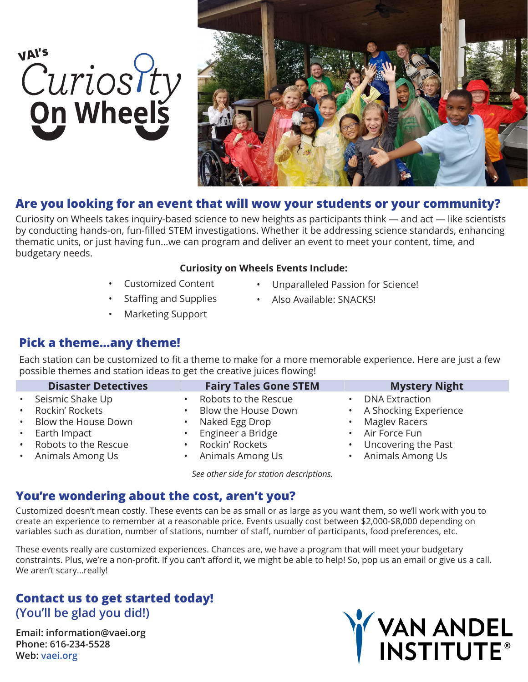# VAI's<br>Curios Pty<br>**On Wheels**



# **Are you looking for an event that will wow your students or your community?**

Curiosity on Wheels takes inquiry-based science to new heights as participants think — and act — like scientists by conducting hands-on, fun-filled STEM investigations. Whether it be addressing science standards, enhancing thematic units, or just having fun...we can program and deliver an event to meet your content, time, and budgetary needs.

### **Curiosity on Wheels Events Include:**

- Customized Content
- Staffing and Supplies
- Unparalleled Passion for Science!
	- Also Available: SNACKS!
- Marketing Support

## **Pick a theme...any theme!**

Each station can be customized to fit a theme to make for a more memorable experience. Here are just a few possible themes and station ideas to get the creative juices flowing!

|                            | <b>Disaster Detectives</b>                                                                                                     | <b>Fairy Tales Gone STEM</b>                                                                                                             | <b>Mystery Night</b>                                                                                                                     |
|----------------------------|--------------------------------------------------------------------------------------------------------------------------------|------------------------------------------------------------------------------------------------------------------------------------------|------------------------------------------------------------------------------------------------------------------------------------------|
| $\bullet$ .<br>$\bullet$ . | Seismic Shake Up<br>• Rockin' Rockets<br>• Blow the House Down<br>Earth Impact<br>• Robots to the Rescue<br>• Animals Among Us | Robots to the Rescue<br>Blow the House Down<br>Naked Egg Drop<br>Engineer a Bridge<br>Rockin' Rockets<br>$\bullet$<br>• Animals Among Us | <b>DNA Extraction</b><br>• A Shocking Experience<br><b>Maglev Racers</b><br>• Air Force Fun<br>Uncovering the Past<br>• Animals Among Us |
|                            |                                                                                                                                |                                                                                                                                          |                                                                                                                                          |

*See other side for station descriptions.* 

## **You're wondering about the cost, aren't you?**

Customized doesn't mean costly. These events can be as small or as large as you want them, so we'll work with you to create an experience to remember at a reasonable price. Events usually cost between \$2,000-\$8,000 depending on variables such as duration, number of stations, number of staff, number of participants, food preferences, etc.

These events really are customized experiences. Chances are, we have a program that will meet your budgetary constraints. Plus, we're a non-profit. If you can't afford it, we might be able to help! So, pop us an email or give us a call. We aren't scary...really!

## **Contact us to get started today! (You'll be glad you did!)**

**Email: information@vaei.org Phone: 616-234-5528 Web: vaei.org**